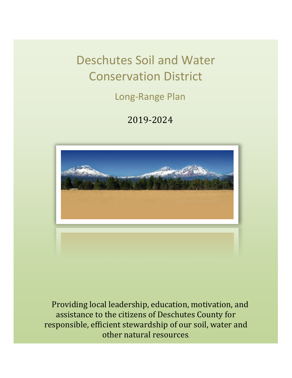Deschutes Soil and Water Conservation District

Long-Range Plan

2019-2024



Providing local leadership, education, motivation, and assistance to the citizens of Deschutes County for responsible, efficient stewardship of our soil, water and other natural resources.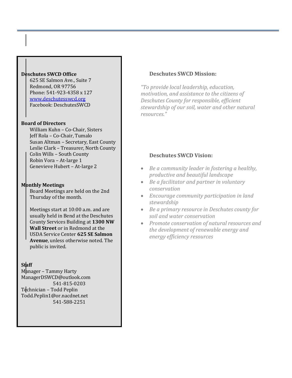# **Deschutes SWCD Office**

625 SE Salmon Ave., Suite 7 Redmond, OR 97756 Phone: 541-923-4358 x 127 [www.deschutesswcd.org](http://www.deschutesswcd.org/) Facebook: DeschutesSWCD

# **Board of Directors**

William Kuhn – Co-Chair, Sisters Jeff Rola – Co-Chair, Tumalo Susan Altman – Secretary, East County Leslie Clark – Treasurer, North County Colin Wills – South County Robin Vora – At-large 1 Genevieve Hubert – At-large 2

# **Monthly Meetings**

Board Meetings are held on the 2nd Thursday of the month.

Meetings start at 10:00 a.m. and are usually held in Bend at the Deschutes County Services Building at **1300 NW Wall Street** or in Redmond at the USDA Service Center **625 SE Salmon Avenue**, unless otherwise noted. The public is invited.

# **Staff**

Manager – Tammy Harty ManagerDSWCD@outlook.com 541-815-0203 Technician – Todd Peplin Todd.Peplin1@or.nacdnet.net 541-588-2251

# **Deschutes SWCD Mission:**

*"To provide local leadership, education, motivation, and assistance to the citizens of Deschutes County for responsible, efficient stewardship of our soil, water and other natural resources."*

# **Deschutes SWCD Vision:**

- *Be a community leader in fostering a healthy, productive and beautiful landscape*
- *Be a facilitator and partner in voluntary conservation*
- *Encourage community participation in land stewardship*
- *Be a primary resource in Deschutes county for soil and water conservation*
- *Promote conservation of natural resources and the development of renewable energy and energy efficiency resources*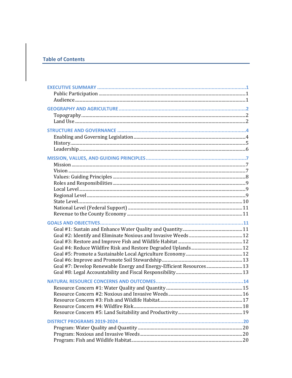# **Table of Contents**

| Goal #7: Develop Renewable Energy and Energy-Efficient Resources 13 |  |
|---------------------------------------------------------------------|--|
|                                                                     |  |
|                                                                     |  |
|                                                                     |  |
|                                                                     |  |
|                                                                     |  |
|                                                                     |  |
|                                                                     |  |
|                                                                     |  |
|                                                                     |  |
|                                                                     |  |
|                                                                     |  |
|                                                                     |  |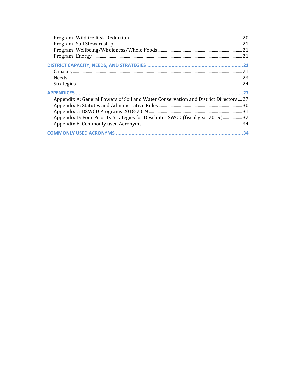| Capacity 21                                                                        |
|------------------------------------------------------------------------------------|
|                                                                                    |
|                                                                                    |
|                                                                                    |
| Appendix A: General Powers of Soil and Water Conservation and District Directors27 |
|                                                                                    |
|                                                                                    |
| Appendix D: Four Priority Strategies for Deschutes SWCD (fiscal year 2019)32       |
|                                                                                    |
| 34                                                                                 |
|                                                                                    |

 $\begin{array}{c} \begin{array}{c} \begin{array}{c} \end{array} \end{array} \end{array}$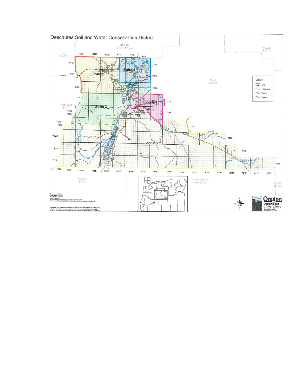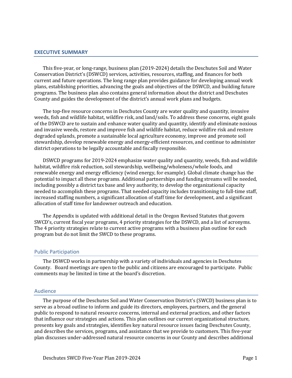# <span id="page-5-0"></span>**EXECUTIVE SUMMARY**

This five-year, or long-range, business plan (2019-2024) details the Deschutes Soil and Water Conservation District's (DSWCD) services, activities, resources, staffing, and finances for both current and future operations. The long range plan provides guidance for developing annual work plans, establishing priorities, advancing the goals and objectives of the DSWCD, and building future programs. The business plan also contains general information about the district and Deschutes County and guides the development of the district's annual work plans and budgets.

The top-five resource concerns in Deschutes County are water quality and quantity, invasive weeds, fish and wildlife habitat, wildfire risk, and land/soils. To address these concerns, eight goals of the DSWCD are to sustain and enhance water quality and quantity, identify and eliminate noxious and invasive weeds, restore and improve fish and wildlife habitat, reduce wildfire risk and restore degraded uplands, promote a sustainable local agriculture economy, improve and promote soil stewardship, develop renewable energy and energy-efficient resources, and continue to administer district operations to be legally accountable and fiscally responsible.

DSWCD programs for 2019-2024 emphasize water quality and quantity, weeds, fish and wildlife habitat, wildfire risk reduction, soil stewardship, wellbeing/wholeness/whole foods, and renewable energy and energy efficiency (wind energy, for example). Global climate change has the potential to impact all these programs. Additional partnerships and funding streams will be needed, including possibly a district tax base and levy authority, to develop the organizational capacity needed to accomplish these programs. That needed capacity includes transitioning to full-time staff, increased staffing numbers, a significant allocation of staff time for development, and a significant allocation of staff time for landowner outreach and education.

The Appendix is updated with additional detail in the Oregon Revised Statutes that govern SWCD's, current fiscal year programs, 4 priority strategies for the DSWCD, and a list of acronyms. The 4 priority strategies relate to current active programs with a business plan outline for each program but do not limit the SWCD to these programs.

#### <span id="page-5-1"></span>Public Participation

The DSWCD works in partnership with a variety of individuals and agencies in Deschutes County. Board meetings are open to the public and citizens are encouraged to participate. Public comments may be limited in time at the board's discretion.

#### <span id="page-5-2"></span>Audience

The purpose of the Deschutes Soil and Water Conservation District's (SWCD) business plan is to serve as a broad outline to inform and guide its directors, employees, partners, and the general public to respond to natural resource concerns, internal and external practices, and other factors that influence our strategies and actions. This plan outlines our current organizational structure, presents key goals and strategies, identifies key natural resource issues facing Deschutes County, and describes the services, programs, and assistance that we provide to customers. This five-year plan discusses under-addressed natural resource concerns in our County and describes additional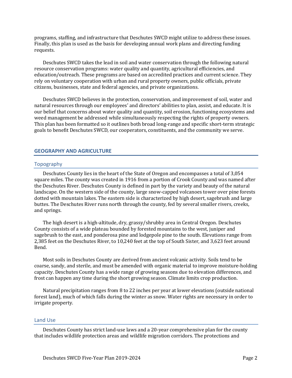programs, staffing, and infrastructure that Deschutes SWCD might utilize to address these issues. Finally, this plan is used as the basis for developing annual work plans and directing funding requests.

Deschutes SWCD takes the lead in soil and water conservation through the following natural resource conservation programs: water quality and quantity, agricultural efficiencies, and education/outreach. These programs are based on accredited practices and current science. They rely on voluntary cooperation with urban and rural property owners, public officials, private citizens, businesses, state and federal agencies, and private organizations.

Deschutes SWCD believes in the protection, conservation, and improvement of soil, water and natural resources through our employees' and directors' abilities to plan, assist, and educate. It is our belief that concerns about water quality and quantity, soil erosion, functioning ecosystems and weed management be addressed while simultaneously respecting the rights of property owners. This plan has been formatted so it outlines both broad long-range and specific short-term strategic goals to benefit Deschutes SWCD, our cooperators, constituents, and the community we serve.

# <span id="page-6-0"></span>**GEOGRAPHY AND AGRICULTURE**

### <span id="page-6-1"></span>Topography

Deschutes County lies in the heart of the State of Oregon and encompasses a total of 3,054 square miles. The county was created in 1916 from a portion of Crook County and was named after the Deschutes River. Deschutes County is defined in part by the variety and beauty of the natural landscape. On the western side of the county, large snow-capped volcanoes tower over pine forests dotted with mountain lakes. The eastern side is characterized by high desert, sagebrush and large buttes. The Deschutes River runs north through the county, fed by several smaller rivers, creeks, and springs.

The high desert is a high-altitude, dry, grassy/shrubby area in Central Oregon. Deschutes County consists of a wide plateau bounded by forested mountains to the west, juniper and sagebrush to the east, and ponderosa pine and lodgepole pine to the south. Elevations range from 2,385 feet on the Deschutes River, to 10,240 feet at the top of South Sister, and 3,623 feet around Bend.

Most soils in Deschutes County are derived from ancient volcanic activity. Soils tend to be coarse, sandy, and sterile, and must be amended with organic material to improve moisture-holding capacity. Deschutes County has a wide range of growing seasons due to elevation differences, and frost can happen any time during the short growing season. Climate limits crop production.

Natural precipitation ranges from 8 to 22 inches per year at lower elevations (outside national forest land), much of which falls during the winter as snow. Water rights are necessary in order to irrigate property.

#### <span id="page-6-2"></span>Land Use

Deschutes County has strict land-use laws and a 20-year comprehensive plan for the county that includes wildlife protection areas and wildlife migration corridors. The protections and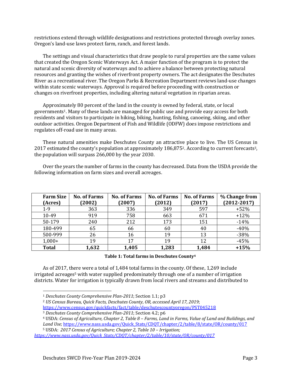restrictions extend through wildlife designations and restrictions protected through overlay zones. Oregon's land-use laws protect farm, ranch, and forest lands.

The settings and visual characteristics that draw people to rural properties are the same values that created the Oregon Scenic Waterways Act. A major function of the program is to protect the natural and scenic diversity of waterways and to achieve a balance between protecting natural resources and granting the wishes of riverfront property owners. The act designates the Deschutes River as a recreational river. The Oregon Parks & Recreation Department reviews land-use changes within state scenic waterways. Approval is required before proceeding with construction or changes on riverfront properties, including altering natural vegetation in riparian areas.

Approximately 80 percent of the land in the county is owned by federal, state, or local governments1. Many of these lands are managed for public use and provide easy access for both residents and visitors to participate in hiking, biking, hunting, fishing, canoeing, skiing, and other outdoor activities. Oregon Department of Fish and Wildlife (ODFW) does impose restrictions and regulates off-road use in many areas.

These natural amenities make Deschutes County an attractive place to live. The US Census in 2017 estimated the county's population at approximately 186,8752. According to current forecasts3, the population will surpass 266,000 by the year 2030.

Over the years the number of farms in the county has decreased. Data from the USDA provide the following information on farm sizes and overall acreages.

| <b>Farm Size</b><br>(Acres) | <b>No. of Farms</b><br>(2002) | <b>No. of Farms</b><br>(2007) | <b>No. of Farms</b><br>(2012) | <b>No. of Farms</b><br>(2017) | % Change from<br>$(2012 - 2017)$ |
|-----------------------------|-------------------------------|-------------------------------|-------------------------------|-------------------------------|----------------------------------|
| $1-9$                       | 363                           | 336                           | 349                           | 597                           | $+52%$                           |
| 10-49                       | 919                           | 758                           | 663                           | 671                           | $+12%$                           |
| 50-179                      | 240                           | 212                           | 173                           | 151                           | $-14%$                           |
| 180-499                     | 65                            | 66                            | 60                            | 40                            | $-40%$                           |
| 500-999                     | 26                            | 16                            | 19                            | 13                            | $-38%$                           |
| $1,000+$                    | 19                            | 17                            | 19                            | 12                            | $-45%$                           |
| <b>Total</b>                | 1,632                         | 1,405                         | 1,283                         | 1,484                         | $+15%$                           |

**Table 1: Total farms in Deschutes County<sup>4</sup>**

As of 2017, there were a total of 1,484 total farms in the county. Of these, 1,269 include irrigated acreages<sup>5</sup> with water supplied predominately through one of a number of irrigation districts. Water for irrigation is typically drawn from local rivers and streams and distributed to

<sup>1</sup> *Deschutes County Comprehensive Plan-2011*; Section 1.1; p3

<sup>2</sup> *US Census Bureau, Quick Facts, Deschutes County, OR, accessed April 17, 2019*;

<https://www.census.gov/quickfacts/fact/table/deschutescountyoregon/PST045218>

<sup>3</sup> *Deschutes County Comprehensive Plan-2011*; Section 4.2; p6

<sup>4</sup> USDA: *Census of Agriculture, Chapter 2, Table 8 – Farms, Land in Farms, Value of Land and Buildings, and Land Use;* [https://www.nass.usda.gov/Quick\\_Stats/CDQT/chapter/2/table/8/state/OR/county/017](https://www.nass.usda.gov/Quick_Stats/CDQT/chapter/2/table/8/state/OR/county/017)

<sup>5</sup> USDA: *2017 Census of Agriculture; Chapter 2, Table 10 – Irrigation;* 

*[https://www.nass.usda.gov/Quick\\_Stats/CDQT/chapter/2/table/10/state/OR/county/017](https://www.nass.usda.gov/Quick_Stats/CDQT/chapter/2/table/10/state/OR/county/017)*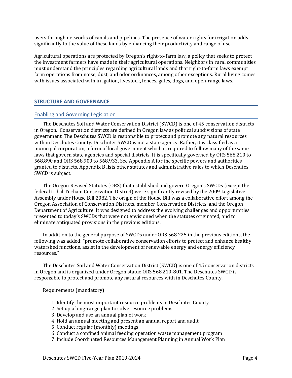users through networks of canals and pipelines. The presence of water rights for irrigation adds significantly to the value of these lands by enhancing their productivity and range of use.

Agricultural operations are protected by Oregon's right-to-farm law, a policy that seeks to protect the investment farmers have made in their agricultural operations. Neighbors in rural communities must understand the principles regarding agricultural lands and that right-to-farm laws exempt farm operations from noise, dust, and odor ordinances, among other exceptions. Rural living comes with issues associated with irrigation, livestock, fences, gates, dogs, and open-range laws.

# <span id="page-8-0"></span>**STRUCTURE AND GOVERNANCE**

### <span id="page-8-1"></span>Enabling and Governing Legislation

The Deschutes Soil and Water Conservation District (SWCD) is one of 45 conservation districts in Oregon. Conservation districts are defined in Oregon law as political subdivisions of state government. The Deschutes SWCD is responsible to protect and promote any natural resources with in Deschutes County. Deschutes SWCD is not a state agency. Rather, it is classified as a municipal corporation, a form of local government which is required to follow many of the same laws that govern state agencies and special districts. It is specifically governed by ORS 568.210 to 568.890 and ORS 568.900 to 568.933. See Appendix A for the specific powers and authorities granted to districts. Appendix B lists other statutes and administrative rules to which Deschutes SWCD is subject.

The Oregon Revised Statutes (ORS) that established and govern Oregon's SWCDs (except the federal tribal Tiicham Conservation District) were significantly revised by the 2009 Legislative Assembly under House Bill 2082. The origin of the House Bill was a collaborative effort among the Oregon Association of Conservation Districts, member Conservation Districts, and the Oregon Department of Agriculture. It was designed to address the evolving challenges and opportunities presented to today's SWCDs that were not envisioned when the statutes originated, and to eliminate antiquated provisions in the previous editions.

In addition to the general purpose of SWCDs under ORS 568.225 in the previous editions, the following was added: "promote collaborative conservation efforts to protect and enhance healthy watershed functions, assist in the development of renewable energy and energy efficiency resources."

The Deschutes Soil and Water Conservation District (SWCD) is one of 45 conservation districts in Oregon and is organized under Oregon statue ORS 568.210-801. The Deschutes SWCD is responsible to protect and promote any natural resources with in Deschutes County.

Requirements (mandatory)

- 1. Identify the most important resource problems in Deschutes County
- 2. Set up a long-range plan to solve resource problems
- 3. Develop and use an annual plan of work
- 4. Hold an annual meeting and present an annual report and audit
- 5. Conduct regular (monthly) meetings
- 6. Conduct a confined animal feeding operation waste management program
- 7. Include Coordinated Resources Management Planning in Annual Work Plan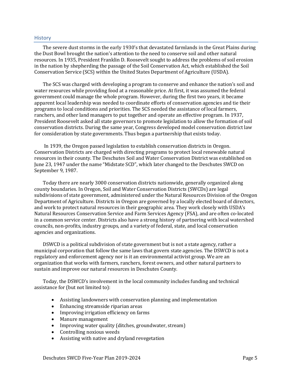#### <span id="page-9-0"></span>**History**

The severe dust storms in the early 1930's that devastated farmlands in the Great Plains during the Dust Bowl brought the nation's attention to the need to conserve soil and other natural resources. In 1935, President Franklin D. Roosevelt sought to address the problems of soil erosion in the nation by shepherding the passage of the Soil Conservation Act, which established the Soil Conservation Service (SCS) within the United States Department of Agriculture (USDA).

The SCS was charged with developing a program to conserve and enhance the nation's soil and water resources while providing food at a reasonable price. At first, it was assumed the federal government could manage the whole program. However, during the first two years, it became apparent local leadership was needed to coordinate efforts of conservation agencies and tie their programs to local conditions and priorities. The SCS needed the assistance of local farmers, ranchers, and other land managers to put together and operate an effective program. In 1937, President Roosevelt asked all state governors to promote legislation to allow the formation of soil conservation districts. During the same year, Congress developed model conservation district law for consideration by state governments. Thus began a partnership that exists today.

In 1939, the Oregon passed legislation to establish conservation districts in Oregon. Conservation Districts are charged with directing programs to protect local renewable natural resources in their county. The Deschutes Soil and Water Conservation District was established on June 23, 1947 under the name "Midstate SCD", which later changed to the Deschutes SWCD on September 9, 1987.

Today there are nearly 3000 conservation districts nationwide, generally organized along county boundaries. In Oregon, Soil and Water Conservation Districts (SWCDs) are legal subdivisions of state government, administered under the Natural Resources Division of the Oregon Department of Agriculture. Districts in Oregon are governed by a locally elected board of directors, and work to protect natural resources in their geographic area. They work closely with USDA's Natural Resources Conservation Service and Farm Services Agency (FSA), and are often co-located in a common service center. Districts also have a strong history of partnering with local watershed councils, non-profits, industry groups, and a variety of federal, state, and local conservation agencies and organizations.

DSWCD is a political subdivision of state government but is not a state agency, rather a municipal corporation that follow the same laws that govern state agencies. The DSWCD is not a regulatory and enforcement agency nor is it an environmental activist group. We are an organization that works with farmers, ranchers, forest owners, and other natural partners to sustain and improve our natural resources in Deschutes County.

Today, the DSWCD's involvement in the local community includes funding and technical assistance for (but not limited to):

- Assisting landowners with conservation planning and implementation
- Enhancing streamside riparian areas
- Improving irrigation efficiency on farms
- Manure management
- Improving water quality (ditches, groundwater, stream)
- Controlling noxious weeds
- Assisting with native and dryland revegetation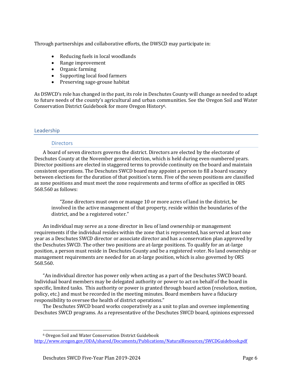Through partnerships and collaborative efforts, the DWSCD may participate in:

- Reducing fuels in local woodlands
- Range improvement
- Organic farming
- Supporting local food farmers
- Preserving sage-grouse habitat

As DSWCD's role has changed in the past, its role in Deschutes County will change as needed to adapt to future needs of the county's agricultural and urban communities. See the Oregon Soil and Water Conservation District Guidebook for more Oregon History6.

# <span id="page-10-0"></span>Leadership

# **Directors**

A board of seven directors governs the district. Directors are elected by the electorate of Deschutes County at the November general election, which is held during even-numbered years. Director positions are elected in staggered terms to provide continuity on the board and maintain consistent operations. The Deschutes SWCD board may appoint a person to fill a board vacancy between elections for the duration of that position's term. Five of the seven positions are classified as zone positions and must meet the zone requirements and terms of office as specified in ORS 568.560 as follows:

"Zone directors must own or manage 10 or more acres of land in the district, be involved in the active management of that property, reside within the boundaries of the district, and be a registered voter."

An individual may serve as a zone director in lieu of land ownership or management requirements if the individual resides within the zone that is represented, has served at least one year as a Deschutes SWCD director or associate director and has a conservation plan approved by the Deschutes SWCD. The other two positions are at-large positions. To qualify for an at-large position, a person must reside in Deschutes County and be a registered voter. No land ownership or management requirements are needed for an at-large position, which is also governed by ORS 568.560.

"An individual director has power only when acting as a part of the Deschutes SWCD board. Individual board members may be delegated authority or power to act on behalf of the board in specific, limited tasks. This authority or power is granted through board action (resolution, motion, policy, etc.) and must be recorded in the meeting minutes. Board members have a fiduciary responsibility to oversee the health of district operations."

The Deschutes SWCD board works cooperatively as a unit to plan and oversee implementing Deschutes SWCD programs. As a representative of the Deschutes SWCD board, opinions expressed

<sup>6</sup> Oregon Soil and Water Conservation District Guidebook <http://www.oregon.gov/ODA/shared/Documents/Publications/NaturalResources/SWCDGuidebook.pdf>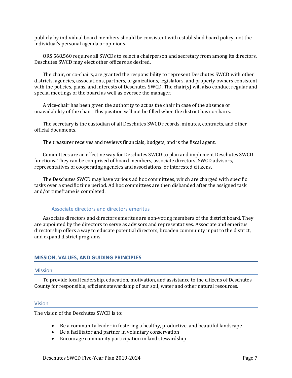publicly by individual board members should be consistent with established board policy, not the individual's personal agenda or opinions.

ORS 568.560 requires all SWCDs to select a chairperson and secretary from among its directors. Deschutes SWCD may elect other officers as desired.

The chair, or co-chairs, are granted the responsibility to represent Deschutes SWCD with other districts, agencies, associations, partners, organizations, legislators, and property owners consistent with the policies, plans, and interests of Deschutes SWCD. The chair(s) will also conduct regular and special meetings of the board as well as oversee the manager.

A vice-chair has been given the authority to act as the chair in case of the absence or unavailability of the chair. This position will not be filled when the district has co-chairs.

The secretary is the custodian of all Deschutes SWCD records, minutes, contracts, and other official documents.

The treasurer receives and reviews financials, budgets, and is the fiscal agent.

Committees are an effective way for Deschutes SWCD to plan and implement Deschutes SWCD functions. They can be comprised of board members, associate directors, SWCD advisors, representatives of cooperating agencies and associations, or interested citizens.

The Deschutes SWCD may have various ad hoc committees, which are charged with specific tasks over a specific time period. Ad hoc committees are then disbanded after the assigned task and/or timeframe is completed.

# Associate directors and directors emeritus

Associate directors and directors emeritus are non-voting members of the district board. They are appointed by the directors to serve as advisors and representatives. Associate and emeritus directorship offers a way to educate potential directors, broaden community input to the district, and expand district programs.

# <span id="page-11-0"></span>**MISSION, VALUES, AND GUIDING PRINCIPLES**

#### <span id="page-11-1"></span>Mission

To provide local leadership, education, motivation, and assistance to the citizens of Deschutes County for responsible, efficient stewardship of our soil, water and other natural resources.

# <span id="page-11-2"></span>Vision

The vision of the Deschutes SWCD is to:

- Be a community leader in fostering a healthy, productive, and beautiful landscape
- Be a facilitator and partner in voluntary conservation
- Encourage community participation in land stewardship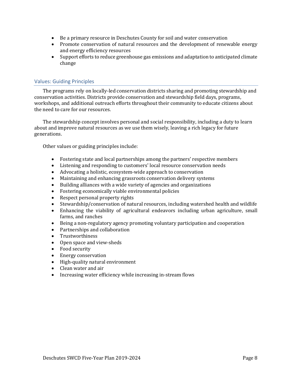- Be a primary resource in Deschutes County for soil and water conservation
- Promote conservation of natural resources and the development of renewable energy and energy efficiency resources
- Support efforts to reduce greenhouse gas emissions and adaptation to anticipated climate change

# <span id="page-12-0"></span>Values: Guiding Principles

The programs rely on locally-led conservation districts sharing and promoting stewardship and conservation activities. Districts provide conservation and stewardship field days, programs, workshops, and additional outreach efforts throughout their community to educate citizens about the need to care for our resources.

The stewardship concept involves personal and social responsibility, including a duty to learn about and improve natural resources as we use them wisely, leaving a rich legacy for future generations.

Other values or guiding principles include:

- Fostering state and local partnerships among the partners' respective members
- Listening and responding to customers' local resource conservation needs
- Advocating a holistic, ecosystem-wide approach to conservation
- Maintaining and enhancing grassroots conservation delivery systems
- Building alliances with a wide variety of agencies and organizations
- Fostering economically viable environmental policies
- Respect personal property rights
- Stewardship/conservation of natural resources, including watershed health and wildlife
- Enhancing the viability of agricultural endeavors including urban agriculture, small farms, and ranches
- Being a non-regulatory agency promoting voluntary participation and cooperation
- Partnerships and collaboration
- Trustworthiness
- Open space and view-sheds
- Food security
- Energy conservation
- High-quality natural environment
- Clean water and air
- Increasing water efficiency while increasing in-stream flows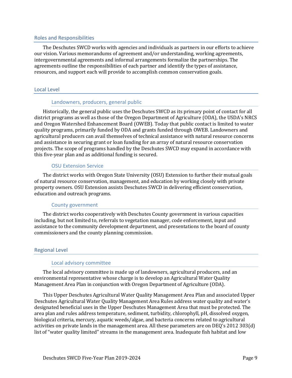### <span id="page-13-0"></span>Roles and Responsibilities

The Deschutes SWCD works with agencies and individuals as partners in our efforts to achieve our vision. Various memorandums of agreement and/or understanding, working agreements, intergovernmental agreements and informal arrangements formalize the partnerships. The agreements outline the responsibilities of each partner and identify the types of assistance, resources, and support each will provide to accomplish common conservation goals.

# <span id="page-13-1"></span>Local Level

# Landowners, producers, general public

Historically, the general public uses the Deschutes SWCD as its primary point of contact for all district programs as well as those of the Oregon Department of Agriculture (ODA), the USDA's NRCS and Oregon Watershed Enhancement Board (OWEB). Today that public contact is limited to water quality programs, primarily funded by ODA and grants funded through OWEB. Landowners and agricultural producers can avail themselves of technical assistance with natural resource concerns and assistance in securing grant or loan funding for an array of natural resource conservation projects. The scope of programs handled by the Deschutes SWCD may expand in accordance with this five-year plan and as additional funding is secured.

# OSU Extension Service

The district works with Oregon State University (OSU) Extension to further their mutual goals of natural resource conservation, management, and education by working closely with private property owners. OSU Extension assists Deschutes SWCD in delivering efficient conservation, education and outreach programs.

# County government

The district works cooperatively with Deschutes County government in various capacities including, but not limited to, referrals to vegetation manager, code enforcement, input and assistance to the community development department, and presentations to the board of county commissioners and the county planning commission.

# <span id="page-13-2"></span>Regional Level

# Local advisory committee

The local advisory committee is made up of landowners, agricultural producers, and an environmental representative whose charge is to develop an Agricultural Water Quality Management Area Plan in conjunction with Oregon Department of Agriculture (ODA).

This Upper Deschutes Agricultural Water Quality Management Area Plan and associated Upper Deschutes Agricultural Water Quality Management Area Rules address water quality and water's designated beneficial uses in the Upper Deschutes Management Area that must be protected. The area plan and rules address temperature, sediment, turbidity, chlorophyll, pH, dissolved oxygen, biological criteria, mercury, aquatic weeds/algae, and bacteria concerns related to agricultural activities on private lands in the management area. All these parameters are on DEQ's 2012 303(d) list of "water quality limited" streams in the management area. Inadequate fish habitat and low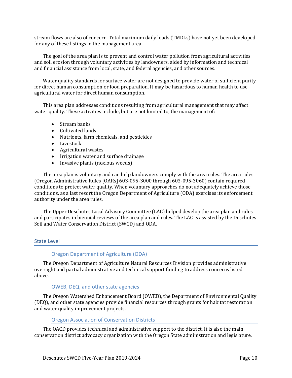stream flows are also of concern. Total maximum daily loads (TMDLs) have not yet been developed for any of these listings in the management area.

The goal of the area plan is to prevent and control water pollution from agricultural activities and soil erosion through voluntary activities by landowners, aided by information and technical and financial assistance from local, state, and federal agencies, and other sources.

Water quality standards for surface water are not designed to provide water of sufficient purity for direct human consumption or food preparation. It may be hazardous to human health to use agricultural water for direct human consumption.

This area plan addresses conditions resulting from agricultural management that may affect water quality. These activities include, but are not limited to, the management of:

- Stream banks
- Cultivated lands
- Nutrients, farm chemicals, and pesticides
- Livestock
- Agricultural wastes
- Irrigation water and surface drainage
- Invasive plants (noxious weeds)

The area plan is voluntary and can help landowners comply with the area rules. The area rules (Oregon Administrative Rules [OARs] 603-095-3000 through 603-095-3060) contain required conditions to protect water quality. When voluntary approaches do not adequately achieve those conditions, as a last resort the Oregon Department of Agriculture (ODA) exercises its enforcement authority under the area rules.

The Upper Deschutes Local Advisory Committee (LAC) helped develop the area plan and rules and participates in biennial reviews of the area plan and rules. The LAC is assisted by the Deschutes Soil and Water Conservation District (SWCD) and ODA.

# <span id="page-14-0"></span>State Level

# Oregon Department of Agriculture (ODA)

The Oregon Department of Agriculture Natural Resources Division provides administrative oversight and partial administrative and technical support funding to address concerns listed above.

# OWEB, DEQ, and other state agencies

The Oregon Watershed Enhancement Board (OWEB), the Department of Environmental Quality (DEQ), and other state agencies provide financial resources through grants for habitat restoration and water quality improvement projects.

# Oregon Association of Conservation Districts

The OACD provides technical and administrative support to the district. It is also the main conservation district advocacy organization with the Oregon State administration and legislature.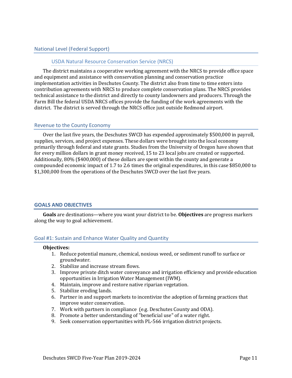# <span id="page-15-0"></span>National Level (Federal Support)

### USDA Natural Resource Conservation Service (NRCS)

The district maintains a cooperative working agreement with the NRCS to provide office space and equipment and assistance with conservation planning and conservation practice implementation activities in Deschutes County. The district also from time to time enters into contribution agreements with NRCS to produce complete conservation plans. The NRCS provides technical assistance to the district and directly to county landowners and producers. Through the Farm Bill the federal USDA NRCS offices provide the funding of the work agreements with the district. The district is served through the NRCS office just outside Redmond airport.

#### <span id="page-15-1"></span>Revenue to the County Economy

Over the last five years, the Deschutes SWCD has expended approximately \$500,000 in payroll, supplies, services, and project expenses. These dollars were brought into the local economy primarily through federal and state grants. Studies from the University of Oregon have shown that for every million dollars in grant money received, 15 to 23 local jobs are created or supported. Additionally, 80% (\$400,000) of these dollars are spent within the county and generate a compounded economic impact of 1.7 to 2.6 times the original expenditures, in this case \$850,000 to \$1,300,000 from the operations of the Deschutes SWCD over the last five years.

# <span id="page-15-2"></span>**GOALS AND OBJECTIVES**

**Goals** are destinations—where you want your district to be. **Objectives** are progress markers along the way to goal achievement.

# <span id="page-15-3"></span>Goal #1: Sustain and Enhance Water Quality and Quantity

#### **Objectives:**

- 1. Reduce potential manure, chemical, noxious weed, or sediment runoff to surface or groundwater.
- 2. Stabilize and increase stream flows.
- 3. Improve private ditch water conveyance and irrigation efficiency and provide education opportunities in Irrigation Water Management (IWM).
- 4. Maintain, improve and restore native riparian vegetation.
- 5. Stabilize eroding lands.
- 6. Partner in and support markets to incentivize the adoption of farming practices that improve water conservation.
- 7. Work with partners in compliance (e.g. Deschutes County and ODA).
- 8. Promote a better understanding of "beneficial use" of a water right.
- 9. Seek conservation opportunities with PL-566 irrigation district projects.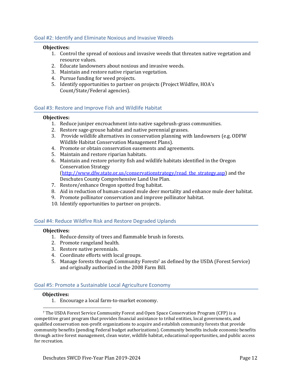# <span id="page-16-0"></span>Goal #2: Identify and Eliminate Noxious and Invasive Weeds

#### **Objectives:**

- 1. Control the spread of noxious and invasive weeds that threaten native vegetation and resource values.
- 2. Educate landowners about noxious and invasive weeds.
- 3. Maintain and restore native riparian vegetation.
- 4. Pursue funding for weed projects.
- 5. Identify opportunities to partner on projects (Project Wildfire, HOA's Count/State/Federal agencies).

# <span id="page-16-1"></span>Goal #3: Restore and Improve Fish and Wildlife Habitat

### **Objectives:**

- 1. Reduce juniper encroachment into native sagebrush-grass communities.
- 2. Restore sage-grouse habitat and native perennial grasses.
- 3. Provide wildlife alternatives in conservation planning with landowners (e.g. ODFW Wildlife Habitat Conservation Management Plans).
- 4. Promote or obtain conservation easements and agreements.
- 5. Maintain and restore riparian habitats.
- 6. Maintain and restore priority fish and wildlife habitats identified in the Oregon Conservation Strategy [\(http://www.dfw.state.or.us/conservationstrategy/read\\_the\\_strategy.asp\)](http://www.dfw.state.or.us/conservationstrategy/read_the_strategy.asp) and the Deschutes County Comprehensive Land Use Plan.
- 7. Restore/enhance Oregon spotted frog habitat.
- 8. Aid in reduction of human-caused mule deer mortality and enhance mule deer habitat.
- 9. Promote pollinator conservation and improve pollinator habitat.
- 10. Identify opportunities to partner on projects.

# <span id="page-16-2"></span>Goal #4: Reduce Wildfire Risk and Restore Degraded Uplands

#### **Objectives:**

- 1. Reduce density of trees and flammable brush in forests.
- 2. Promote rangeland health.
- 3. Restore native perennials.
- 4. Coordinate efforts with local groups.
- 5. Manage forests through Community Forests<sup>7</sup> as defined by the USDA (Forest Service) and originally authorized in the 2008 Farm Bill.

# <span id="page-16-3"></span>Goal #5: Promote a Sustainable Local Agriculture Economy

# **Objectives:**

1. Encourage a local farm-to-market economy.

<sup>7</sup> The USDA Forest Service Community Forest and Open Space Conservation Program (CFP) is a competitive grant program that provides financial assistance to tribal entities, local governments, and qualified conservation non-profit organizations to acquire and establish community forests that provide community benefits (pending Federal budget authorizations). Community benefits include economic benefits through active forest management, clean water, wildlife habitat, educational opportunities, and public access for recreation.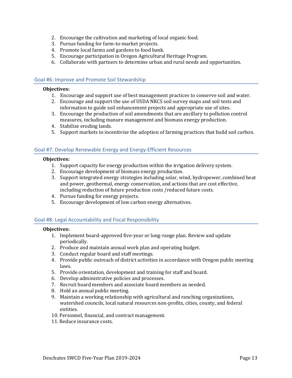- 2. Encourage the cultivation and marketing of local organic food.
- 3. Pursue funding for farm-to-market projects.
- 4. Promote local farms and gardens to food bank.
- 5. Encourage participation in Oregon Agricultural Heritage Program.
- 6. Collaborate with partners to determine urban and rural needs and opportunities.

# <span id="page-17-0"></span>Goal #6: Improve and Promote Soil Stewardship

### **Objectives:**

- 1. Encourage and support use of best management practices to conserve soil and water.
- 2. Encourage and support the use of USDA NRCS soil survey maps and soil tests and information to guide soil enhancement projects and appropriate use of sites.
- 3. Encourage the production of soil amendments that are ancillary to pollution control measures, including manure management and biomass energy production.
- 4. Stabilize eroding lands.
- 5. Support markets to incentivize the adoption of farming practices that build soil carbon.

# <span id="page-17-1"></span>Goal #7: Develop Renewable Energy and Energy-Efficient Resources

### **Objectives:**

- 1. Support capacity for energy production within the irrigation delivery system.
- 2. Encourage development of biomass energy production.
- 3. Support integrated energy strategies including solar, wind, hydropower, combined heat and power, geothermal, energy conservation, and actions that are cost effective, including reduction of future production costs /reduced future costs.
- 4. Pursue funding for energy projects.
- 5. Encourage development of low carbon energy alternatives.

# <span id="page-17-2"></span>Goal #8: Legal Accountability and Fiscal Responsibility

# **Objectives:**

- 1. Implement board-approved five-year or long-range plan. Review and update periodically.
- 2. Produce and maintain annual work plan and operating budget.
- 3. Conduct regular board and staff meetings.
- 4. Provide public outreach of district activities in accordance with Oregon public meeting laws.
- 5. Provide orientation, development and training for staff and board.
- 6. Develop administrative policies and processes.
- 7. Recruit board members and associate board members as needed.
- 8. Hold an annual public meeting.
- 9. Maintain a working relationship with agricultural and ranching organizations, watershed councils, local natural resources non-profits, cities, county, and federal entities.
- 10. Personnel, financial, and contract management.
- 11. Reduce insurance costs.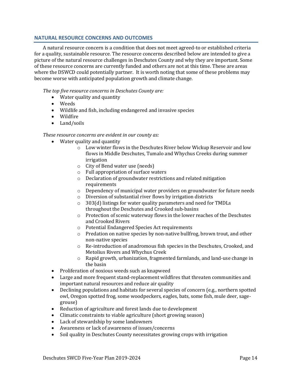# <span id="page-18-0"></span>**NATURAL RESOURCE CONCERNS AND OUTCOMES**

A natural resource concern is a condition that does not meet agreed-to or established criteria for a quality, sustainable resource. The resource concerns described below are intended to give a picture of the natural resource challenges in Deschutes County and why they are important. Some of these resource concerns are currently funded and others are not at this time. These are areas where the DSWCD could potentially partner. It is worth noting that some of these problems may become worse with anticipated population growth and climate change.

*The top five resource concerns in Deschutes County are:*

- Water quality and quantity
- Weeds
- Wildlife and fish, including endangered and invasive species
- Wildfire
- Land/soils

# *These resource concerns are evident in our county as:*

- Water quality and quantity
	- o Low winter flows in the Deschutes River below Wickup Reservoir and low flows in Middle Deschutes, Tumalo and Whychus Creeks during summer irrigation
	- o City of Bend water use (needs)
	- o Full appropriation of surface waters
	- o Declaration of groundwater restrictions and related mitigation requirements
	- $\circ$  Dependency of municipal water providers on groundwater for future needs
	- o Diversion of substantial river flows by irrigation districts
	- o 303(d) listings for water quality parameters and need for TMDLs throughout the Deschutes and Crooked sub-basins
	- o Protection of scenic waterway flows in the lower reaches of the Deschutes and Crooked Rivers
	- o Potential Endangered Species Act requirements
	- o Predation on native species by non-native bullfrog, brown trout, and other non-native species
	- o Re-introduction of anadromous fish species in the Deschutes, Crooked, and Metolius Rivers and Whychus Creek
	- $\circ$  Rapid growth, urbanization, fragmented farmlands, and land-use change in the basin
- Proliferation of noxious weeds such as knapweed
- Large and more frequent stand-replacement wildfires that threaten communities and important natural resources and reduce air quality
- Declining populations and habitats for several species of concern (e.g., northern spotted owl, Oregon spotted frog, some woodpeckers, eagles, bats, some fish, mule deer, sagegrouse)
- Reduction of agriculture and forest lands due to development
- Climatic constraints to viable agriculture (short growing season)
- Lack of stewardship by some landowners
- Awareness or lack of awareness of issues/concerns
- Soil quality in Deschutes County necessitates growing crops with irrigation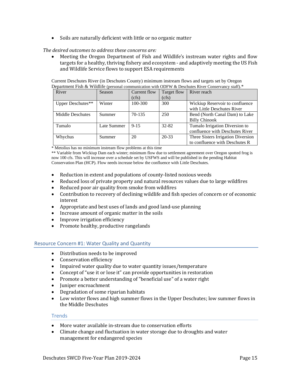• Soils are naturally deficient with little or no organic matter

# *The desired outcomes to address these concerns are:*

• Meeting the Oregon Department of Fish and Wildlife's instream water rights and flow targets for a healthy, thriving fishery and ecosystem - and adaptively meeting the US Fish and Wildlife Service flows to support ESA requirements

Current Deschutes River (in Deschutes County) minimum instream flows and targets set by Oregon Department Fish & Wildlife (personal communication with ODFW & Deschutes River Conservancy staff).\*

| River             | Season      | Current flow<br>(cfs) | Target flow<br>(cfs) | River reach                                                          |
|-------------------|-------------|-----------------------|----------------------|----------------------------------------------------------------------|
| Upper Deschutes** | Winter      | 100-300               | 300                  | Wickiup Reservoir to confluence<br>with Little Deschutes River       |
| Middle Deschutes  | Summer      | $70-135$              | 250                  | Bend (North Canal Dam) to Lake<br><b>Billy Chinook</b>               |
| Tumalo            | Late Summer | $9 - 15$              | $32 - 82$            | Tumalo Irrigation Diversion to<br>confluence with Deschutes River    |
| Whychus           | Summer      | 20                    | $20 - 33$            | Three Sisters Irrigation Diversion<br>to confluence with Deschutes R |

\* Metolius has no minimum instream flow problems at this time

\*\* Variable from Wickiup Dam each winter; minimum flow due to settlement agreement over Oregon spotted frog is now 100 cfs. This will increase over a schedule set by USFWS and will be published in the pending Habitat Conservation Plan (HCP). Flow needs increase below the confluence with Little Deschutes.

- Reduction in extent and populations of county-listed noxious weeds
- Reduced loss of private property and natural resources values due to large wildfires
- Reduced poor air quality from smoke from wildfires
- Contribution to recovery of declining wildlife and fish species of concern or of economic interest
- Appropriate and best uses of lands and good land-use planning
- Increase amount of organic matter in the soils
- Improve irrigation efficiency
- Promote healthy, productive rangelands

# <span id="page-19-0"></span>Resource Concern #1: Water Quality and Quantity

- Distribution needs to be improved
- Conservation efficiency
- Impaired water quality due to water quantity issues/temperature
- Concept of "use it or lose it" can provide opportunities in restoration
- Promote a better understanding of "beneficial use" of a water right
- Juniper encroachment
- Degradation of some riparian habitats
- Low winter flows and high summer flows in the Upper Deschutes; low summer flows in the Middle Deschutes

# **Trends**

- More water available in-stream due to conservation efforts
- Climate change and fluctuation in water storage due to droughts and water management for endangered species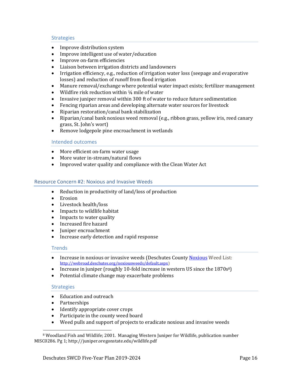# **Strategies**

- Improve distribution system
- Improve intelligent use of water/education
- Improve on-farm efficiencies
- Liaison between irrigation districts and landowners
- Irrigation efficiency, e.g., reduction of irrigation water loss (seepage and evaporative losses) and reduction of runoff from flood irrigation
- Manure removal/exchange where potential water impact exists; fertilizer management
- Wildfire risk reduction within 1/4 mile of water
- Invasive juniper removal within 300 ft of water to reduce future sedimentation
- Fencing riparian areas and developing alternate water sources for livestock
- Riparian restoration/canal bank stabilization
- Riparian/canal bank noxious weed removal (e.g., ribbon grass, yellow iris, reed canary grass, St. John's wort)
- Remove lodgepole pine encroachment in wetlands

# Intended outcomes

- More efficient on-farm water usage
- More water in-stream/natural flows
- Improved water quality and compliance with the Clean Water Act

# <span id="page-20-0"></span>Resource Concern #2: Noxious and Invasive Weeds

- Reduction in productivity of land/loss of production
- Erosion
- Livestock health/loss
- Impacts to wildlife habitat
- Impacts to water quality
- Increased fire hazard
- Juniper encroachment
- Increase early detection and rapid response

# **Trends**

- Increase in noxious or invasive weeds (Deschutes Count[y Noxious](file:///C:/Users/Genevieve/AppData/Local/Packages/Microsoft.MicrosoftEdge_8wekyb3d8bbwe/TempState/Downloads/Noxious) Weed List: [http://webroad.deschutes.org/noxiousweeds/default.aspx\)](http://webroad.deschutes.org/noxiousweeds/default.aspx)
- Increase in juniper (roughly 10-fold increase in western US since the 1870s<sup>8</sup>)
- Potential climate change may exacerbate problems

# **Strategies**

- Education and outreach
- Partnerships
- Identify appropriate cover crops
- Participate in the county weed board
- Weed pulls and support of projects to eradicate noxious and invasive weeds

<sup>8</sup> Woodland Fish and Wildlife; 2001. Managing Western Juniper for Wildlife, publication number MISC0286. Pg 1; http://juniper.oregonstate.edu/wildlife.pdf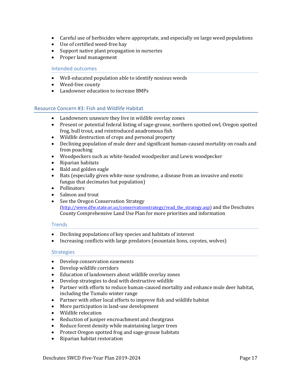- Careful use of herbicides where appropriate, and especially on large weed populations
- Use of certified weed-free hay
- Support native plant propagation in nurseries
- Proper land management

# Intended outcomes

- Well-educated population able to identify noxious weeds
- Weed-free county
- Landowner education to increase BMPs

# <span id="page-21-0"></span>Resource Concern #3: Fish and Wildlife Habitat

- Landowners unaware they live in wildlife overlay zones
- Present or potential federal listing of sage-grouse, northern spotted owl, Oregon spotted frog, bull trout, and reintroduced anadromous fish
- Wildlife destruction of crops and personal property
- Declining population of mule deer and significant human-caused mortality on roads and from poaching
- Woodpeckers such as white-headed woodpecker and Lewis woodpecker
- Riparian habitats
- Bald and golden eagle
- Bats (especially given white-nose syndrome, a disease from an invasive and exotic fungus that decimates bat population)
- Pollinators
- Salmon and trout
- See the Oregon Conservation Strategy [\(http://www.dfw.state.or.us/conservationstrategy/read\\_the\\_strategy.asp\)](http://www.dfw.state.or.us/conservationstrategy/read_the_strategy.asp) and the Deschutes County Comprehensive Land Use Plan for more priorities and information

# **Trends**

- Declining populations of key species and habitats of interest
- Increasing conflicts with large predators (mountain lions, coyotes, wolves)

# **Strategies**

- Develop conservation easements
- Develop wildlife corridors
- Education of landowners about wildlife overlay zones
- Develop strategies to deal with destructive wildlife
- Partner with efforts to reduce human-caused mortality and enhance mule deer habitat, including the Tumalo winter range
- Partner with other local efforts to improve fish and wildlife habitat
- More participation in land-use development
- Wildlife relocation
- Reduction of juniper encroachment and cheatgrass
- Reduce forest density while maintaining larger trees
- Protect Oregon spotted frog and sage-grouse habitats
- Riparian habitat restoration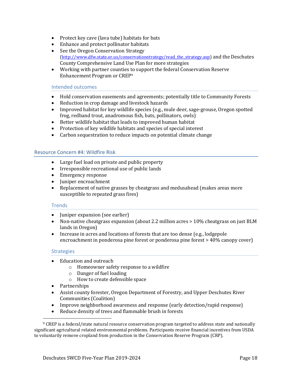- Protect key cave (lava tube) habitats for bats
- Enhance and protect pollinator habitats
- See the Oregon Conservation Strategy [\(http://www.dfw.state.or.us/conservationstrategy/read\\_the\\_strategy.asp\)](http://www.dfw.state.or.us/conservationstrategy/read_the_strategy.asp) and the Deschutes County Comprehensive Land Use Plan for more strategies
- Working with partner counties to support the federal Conservation Reserve Enhancement Program or CREP<sup>9</sup>

### Intended outcomes

- Hold conservation easements and agreements; potentially title to Community Forests
- Reduction in crop damage and livestock hazards
- Improved habitat for key wildlife species (e.g., mule deer, sage-grouse, Oregon spotted frog, redband trout, anadromous fish, bats, pollinators, owls)
- Better wildlife habitat that leads to improved human habitat
- Protection of key wildlife habitats and species of special interest
- Carbon sequestration to reduce impacts on potential climate change

# <span id="page-22-0"></span>Resource Concern #4: Wildfire Risk

- Large fuel load on private and public property
- Irresponsible recreational use of public lands
- Emergency response
- Juniper encroachment
- Replacement of native grasses by cheatgrass and medusahead (makes areas more susceptible to repeated grass fires)

#### **Trends**

- Juniper expansion (see earlier)
- Non-native cheatgrass expansion (about 2.2 million acres > 10% cheatgrass on just BLM lands in Oregon)
- Increase in acres and locations of forests that are too dense (e.g., lodgepole encroachment in ponderosa pine forest or ponderosa pine forest > 40% canopy cover)

# **Strategies**

- Education and outreach
	- o Homeowner safety response to a wildfire
	- o Danger of fuel loading
	- o How to create defensible space
- Partnerships
- Assist county forester, Oregon Department of Forestry, and Upper Deschutes River Communities (Coalition)
- Improve neighborhood awareness and response (early detection/rapid response)
- Reduce density of trees and flammable brush in forests

<sup>9</sup> CREP is a federal/state natural resource conservation program targeted to address state and nationally significant agricultural related environmental problems. Participants receive financial incentives from USDA to voluntarily remove cropland from production in the Conservation Reserve Program (CRP).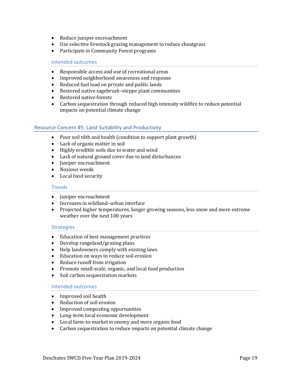- Reduce juniper encroachment
- Use selective livestock grazing management to reduce cheatgrass
- Participate in Community Forest programs

### Intended outcomes

- Responsible access and use of recreational areas
- Improved neighborhood awareness and response
- Reduced fuel load on private and public lands
- Restored native sagebrush–steppe plant communities
- Restored native forests
- Carbon sequestration through reduced high intensity wildfire to reduce potential impacts on potential climate change

# <span id="page-23-0"></span>Resource Concern #5: Land Suitability and Productivity

- Poor soil tilth and health (condition to support plant growth)
- Lack of organic matter in soil
- Highly erodible soils due to water and wind
- Lack of natural ground cover due to land disturbances
- Juniper encroachment
- Noxious weeds
- Local food security

### **Trends**

- Juniper encroachment
- Increases in wildland–urban interface
- Projected higher temperatures, longer growing seasons, less snow and more extreme weather over the next 100 years

# **Strategies**

- Education of best management practices
- Develop rangeland/grazing plans
- Help landowners comply with existing laws
- Education on ways to reduce soil erosion
- Reduce runoff from irrigation
- Promote small-scale, organic, and local food production
- Soil carbon sequestration markets

# Intended outcomes

- Improved soil health
- Reduction of soil erosion
- Improved composting opportunities
- Long-term local economic development
- Local farm-to-market economy and more organic food
- Carbon sequestration to reduce impacts on potential climate change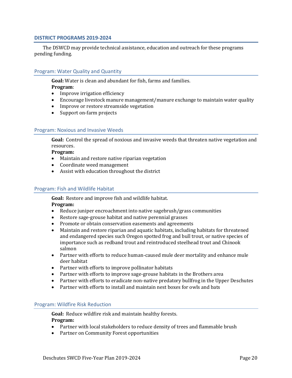# <span id="page-24-0"></span>**DISTRICT PROGRAMS 2019-2024**

The DSWCD may provide technical assistance, education and outreach for these programs pending funding.

# <span id="page-24-1"></span>Program: Water Quality and Quantity

**Goal:** Water is clean and abundant for fish, farms and families.

# **Program**:

- Improve irrigation efficiency
- Encourage livestock manure management/manure exchange to maintain water quality
- Improve or restore streamside vegetation
- Support on-farm projects

# <span id="page-24-2"></span>Program: Noxious and Invasive Weeds

**Goal:** Control the spread of noxious and invasive weeds that threaten native vegetation and resources.

### **Program:**

- Maintain and restore native riparian vegetation
- Coordinate weed management
- Assist with education throughout the district

# <span id="page-24-3"></span>Program: Fish and Wildlife Habitat

**Goal:** Restore and improve fish and wildlife habitat.

# **Program:**

- Reduce juniper encroachment into native sagebrush/grass communities
- Restore sage-grouse habitat and native perennial grasses
- Promote or obtain conservation easements and agreements
- Maintain and restore riparian and aquatic habitats, including habitats for threatened and endangered species such Oregon spotted frog and bull trout, or native species of importance such as redband trout and reintroduced steelhead trout and Chinook salmon
- Partner with efforts to reduce human-caused mule deer mortality and enhance mule deer habitat
- Partner with efforts to improve pollinator habitats
- Partner with efforts to improve sage-grouse habitats in the Brothers area
- Partner with efforts to eradicate non-native predatory bullfrog in the Upper Deschutes
- Partner with efforts to install and maintain nest boxes for owls and bats

# <span id="page-24-4"></span>Program: Wildfire Risk Reduction

**Goal:** Reduce wildfire risk and maintain healthy forests.

# **Program:**

- Partner with local stakeholders to reduce density of trees and flammable brush
- Partner on Community Forest opportunities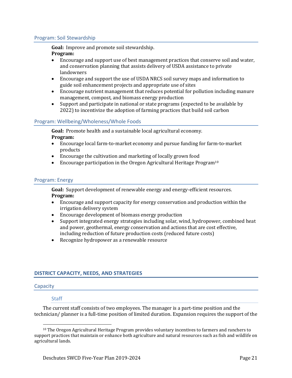# <span id="page-25-0"></span>Program: Soil Stewardship

**Goal:** Improve and promote soil stewardship.

# **Program:**

- Encourage and support use of best management practices that conserve soil and water, and conservation planning that assists delivery of USDA assistance to private landowners
- Encourage and support the use of USDA NRCS soil survey maps and information to guide soil enhancement projects and appropriate use of sites
- Encourage nutrient management that reduces potential for pollution including manure management, compost, and biomass energy production
- Support and participate in national or state programs (expected to be available by 2022) to incentivize the adoption of farming practices that build soil carbon

# <span id="page-25-1"></span>Program: Wellbeing/Wholeness/Whole Foods

**Goal:** Promote health and a sustainable local agricultural economy. **Program:**

- Encourage local farm-to-market economy and pursue funding for farm-to-market products
- Encourage the cultivation and marketing of locally grown food
- Encourage participation in the Oregon Agricultural Heritage Program<sup>10</sup>

# <span id="page-25-2"></span>Program: Energy

**Goal:** Support development of renewable energy and energy-efficient resources. **Program:**

- Encourage and support capacity for energy conservation and production within the irrigation delivery system
- Encourage development of biomass energy production
- Support integrated energy strategies including solar, wind, hydropower, combined heat and power, geothermal, energy conservation and actions that are cost effective, including reduction of future production costs (reduced future costs)
- Recognize hydropower as a renewable resource

# <span id="page-25-3"></span>**DISTRICT CAPACITY, NEEDS, AND STRATEGIES**

# <span id="page-25-4"></span>Capacity

# **Staff**

The current staff consists of two employees. The manager is a part-time position and the technician/ planner is a full-time position of limited duration. Expansion requires the support of the

<sup>10</sup> The Oregon Agricultural Heritage Program provides voluntary incentives to farmers and ranchers to support practices that maintain or enhance both agriculture and natural resources such as fish and wildlife on agricultural lands.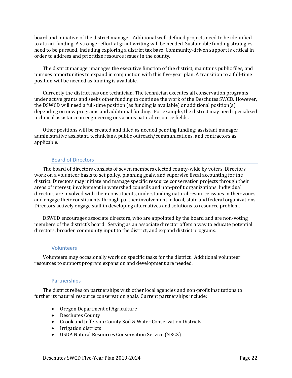board and initiative of the district manager. Additional well-defined projects need to be identified to attract funding. A stronger effort at grant writing will be needed. Sustainable funding strategies need to be pursued, including exploring a district tax base. Community-driven support is critical in order to address and prioritize resource issues in the county.

The district manager manages the executive function of the district, maintains public files, and pursues opportunities to expand in conjunction with this five-year plan. A transition to a full-time position will be needed as funding is available.

Currently the district has one technician. The technician executes all conservation programs under active grants and seeks other funding to continue the work of the Deschutes SWCD. However, the DSWCD will need a full-time position (as funding is available) or additional position(s) depending on new programs and additional funding. For example, the district may need specialized technical assistance in engineering or various natural resource fields.

Other positions will be created and filled as needed pending funding: assistant manager, administrative assistant, technicians, public outreach/communications, and contractors as applicable.

# Board of Directors

The board of directors consists of seven members elected county-wide by voters. Directors work on a volunteer basis to set policy, planning goals, and supervise fiscal accounting for the district. Directors may initiate and manage specific resource conservation projects through their areas of interest, involvement in watershed councils and non-profit organizations. Individual directors are involved with their constituents, understanding natural resource issues in their zones and engage their constituents through partner involvement in local, state and federal organizations. Directors actively engage staff in developing alternatives and solutions to resource problem.

DSWCD encourages associate directors, who are appointed by the board and are non-voting members of the district's board. Serving as an associate director offers a way to educate potential directors, broaden community input to the district, and expand district programs.

#### Volunteers

Volunteers may occasionally work on specific tasks for the district. Additional volunteer resources to support program expansion and development are needed.

# Partnerships

The district relies on partnerships with other local agencies and non-profit institutions to further its natural resource conservation goals. Current partnerships include:

- Oregon Department of Agriculture
- Deschutes County
- Crook and Jefferson County Soil & Water Conservation Districts
- Irrigation districts
- USDA Natural Resources Conservation Service (NRCS)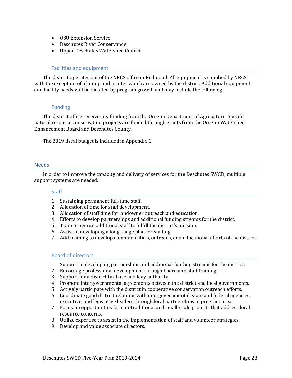- OSU Extension Service
- Deschutes River Conservanc*y*
- Upper Deschutes Watershed Council

# Facilities and equipment

The district operates out of the NRCS office in Redmond. All equipment is supplied by NRCS with the exception of a laptop and printer which are owned by the district. Additional equipment and facility needs will be dictated by program growth and may include the following:

# Funding

The district office receives its funding from the Oregon Department of Agriculture. Specific natural resource conservation projects are funded through grants from the Oregon Watershed Enhancement Board and Deschutes County.

The 2019 fiscal budget is included in Appendix C.

#### <span id="page-27-0"></span>**Needs**

In order to improve the capacity and delivery of services for the Deschutes SWCD, multiple support systems are needed.

#### Staff

- 1. Sustaining permanent full-time staff.
- 2. Allocation of time for staff development.
- 3. Allocation of staff time for landowner outreach and education.
- 4. Efforts to develop partnerships and additional funding streams for the district.
- 5. Train or recruit additional staff to fulfill the district's mission.
- 6. Assist in developing a long-range plan for staffing.
- 7. Add training to develop communication, outreach, and educational efforts of the district.

#### Board of directors

- 1. Support in developing partnerships and additional funding streams for the district.
- 2. Encourage professional development through board and staff training.
- 3. Support for a district tax base and levy authority.
- 4. Promote intergovernmental agreements between the district and local governments.
- 5. Actively participate with the district in cooperative conservation outreach efforts.
- 6. Coordinate good district relations with non-governmental, state and federal agencies, executive, and legislative leaders through local partnerships in program areas.
- 7. Focus on opportunities for non-traditional and small-scale projects that address local resource concerns.
- 8. Utilize expertise to assist in the implementation of staff and volunteer strategies.
- 9. Develop and value associate directors.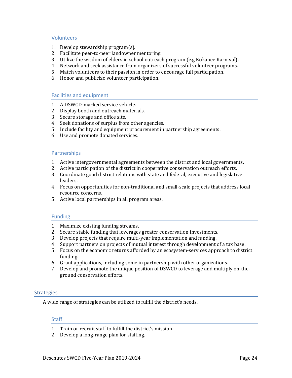# Volunteers

- 1. Develop stewardship program(s).
- 2. Facilitate peer-to-peer landowner mentoring.
- 3. Utilize the wisdom of elders in school outreach program (e.g Kokanee Karnival).
- 4. Network and seek assistance from organizers of successful volunteer programs.
- 5. Match volunteers to their passion in order to encourage full participation.
- 6. Honor and publicize volunteer participation.

# Facilities and equipment

- 1. A DSWCD-marked service vehicle.
- 2. Display booth and outreach materials.
- 3. Secure storage and office site.
- 4. Seek donations of surplus from other agencies.
- 5. Include facility and equipment procurement in partnership agreements.
- 6. Use and promote donated services.

### **Partnerships**

- 1. Active intergovernmental agreements between the district and local governments.
- 2. Active participation of the district in cooperative conservation outreach efforts.
- 3. Coordinate good district relations with state and federal, executive and legislative leaders.
- 4. Focus on opportunities for non-traditional and small-scale projects that address local resource concerns.
- 5. Active local partnerships in all program areas.

# Funding

- 1. Maximize existing funding streams.
- 2. Secure stable funding that leverages greater conservation investments.
- 3. Develop projects that require multi-year implementation and funding.
- 4. Support partners on projects of mutual interest through development of a tax base.
- 5. Focus on the economic returns afforded by an ecosystem-services approach to district funding.
- 6. Grant applications, including some in partnership with other organizations.
- 7. Develop and promote the unique position of DSWCD to leverage and multiply on-theground conservation efforts.

# <span id="page-28-0"></span>**Strategies**

A wide range of strategies can be utilized to fulfill the district's needs.

# **Staff**

- 1. Train or recruit staff to fulfill the district's mission.
- 2. Develop a long-range plan for staffing.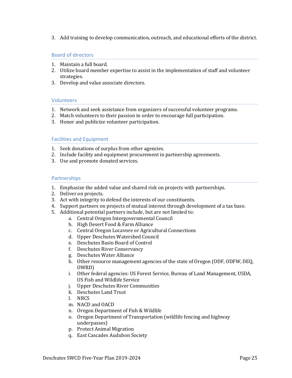3. Add training to develop communication, outreach, and educational efforts of the district.

# Board of directors

- 1. Maintain a full board.
- 2. Utilize board member expertise to assist in the implementation of staff and volunteer strategies.
- 3. Develop and value associate directors.

# Volunteers

- 1. Network and seek assistance from organizers of successful volunteer programs.
- 2. Match volunteers to their passion in order to encourage full participation.
- 3. Honor and publicize volunteer participation.

# Facilities and Equipment

- 1. Seek donations of surplus from other agencies.
- 2. Include facility and equipment procurement in partnership agreements.
- 3. Use and promote donated services.

# **Partnerships**

- 1. Emphasize the added value and shared risk on projects with partnerships.
- 2. Deliver on projects.
- 3. Act with integrity to defend the interests of our constituents.
- 4. Support partners on projects of mutual interest through development of a tax base.
- 5. Additional potential partners include, but are not limited to:
	- a. Central Oregon Intergovernmental Council
		- b. High Desert Food & Farm Alliance
		- c. Central Oregon Locavore or Agricultural Connections
		- d. Upper Deschutes Watershed Council
		- e. Deschutes Basin Board of Control
		- f. Deschutes River Conservancy
		- g. Deschutes Water Alliance
		- h. Other resource management agencies of the state of Oregon (ODF, ODFW, DEQ, OWRD)
		- i. Other federal agencies: US Forest Service, Bureau of Land Management, USDA, US Fish and Wildlife Service
		- j. Upper Deschutes River Communities
		- k. Deschutes Land Trust
		- l. NRCS
		- m. NACD and OACD
		- n. Oregon Department of Fish & Wildlife
		- o. Oregon Department of Transportation (wildlife fencing and highway underpasses)
		- p. Protect Animal Migration
		- q. East Cascades Audubon Society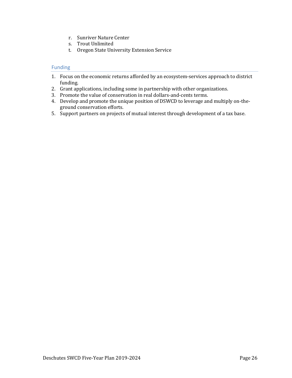- r. Sunriver Nature Center
- s. Trout Unlimited
- t. Oregon State University Extension Service

# Funding

- 1. Focus on the economic returns afforded by an ecosystem-services approach to district funding.
- 2. Grant applications, including some in partnership with other organizations.
- 3. Promote the value of conservation in real dollars-and-cents terms.
- 4. Develop and promote the unique position of DSWCD to leverage and multiply on-theground conservation efforts.
- 5. Support partners on projects of mutual interest through development of a tax base.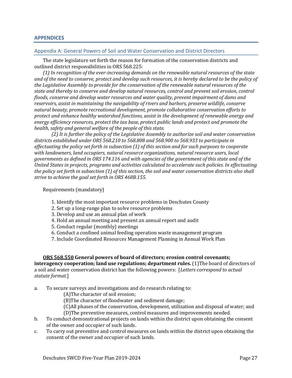### <span id="page-31-0"></span>**APPENDICES**

#### <span id="page-31-1"></span>Appendix A: General Powers of Soil and Water Conservation and District Directors

The state legislature set forth the reason for formation of the conservation districts and outlined district responsibilities in ORS 568.225:

*(1) In recognition of the ever-increasing demands on the renewable natural resources of the state and of the need to conserve, protect and develop such resources, it is hereby declared to be the policy of the Legislative Assembly to provide for the conservation of the renewable natural resources of the state and thereby to conserve and develop natural resources, control and prevent soil erosion, control floods, conserve and develop water resources and water quality, prevent impairment of dams and reservoirs, assist in maintaining the navigability of rivers and harbors, preserve wildlife, conserve natural beauty, promote recreational development, promote collaborative conservation efforts to protect and enhance healthy watershed functions, assist in the development of renewable energy and energy efficiency resources, protect the tax base, protect public lands and protect and promote the health, safety and general welfare of the people of this state.*

*(2) It is further the policy of the Legislative Assembly to authorize soil and water conservation districts established under ORS 568.210 to 568.808 and 568.900 to 568.933 to participate in effectuating the policy set forth in subsection (1) of this section and for such purposes to cooperate with landowners, land occupiers, natural resource organizations, natural resource users, local governments as defined in ORS 174.116 and with agencies of the government of this state and of the United States in projects, programs and activities calculated to accelerate such policies. In effectuating the policy set forth in subsection (1) of this section, the soil and water conservation districts also shall strive to achieve the goal set forth in ORS 468B.155.*

Requirements (mandatory)

- 1. Identify the most important resource problems in Deschutes County
- 2. Set up a long-range plan to solve resource problems
- 3. Develop and use an annual plan of work
- 4. Hold an annual meeting and present an annual report and audit
- 5. Conduct regular (monthly) meetings
- 6. Conduct a confined animal feeding operation waste management program
- 7. Include Coordinated Resources Management Planning in Annual Work Plan

# **ORS 568.550 General powers of board of directors; erosion control covenants; interagency cooperation; land use regulations; department rules.** (1)The board of directors of a soil and water conservation district has the following powers: [*Letters correspond to actual statute format*.]

- a. To secure surveys and investigations and do research relating to:
	- (A)The character of soil erosion;
	- (B)The character of floodwater and sediment damage;
	- (C)All phases of the conservation, development, utilization and disposal of water; and (D)The preventive measures, control measures and improvements needed.
- b. To conduct demonstrational projects on lands within the district upon obtaining the consent of the owner and occupier of such lands.
- c. To carry out preventive and control measures on lands within the district upon obtaining the consent of the owner and occupier of such lands.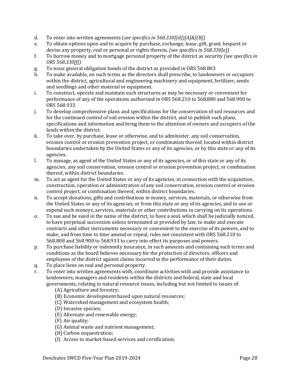- d. To enter into written agreements (*see specifics in 568.330[(d])[A]&[(B])*
- e. To obtain options upon and to acquire by purchase, exchange, lease, gift, grant, bequest or devise any property, real or personal or rights therein, *(see specifics in 568.330[e])*
- f. To borrow money and to mortgage personal property of the district as security *(see specifics in ORS 568.330[f])*
- g. To issue general obligation bonds of the district as provided in ORS 568.803
- h. To make available, on such terms as the directors shall prescribe, to landowners or occupiers within the district, agricultural and engineering machinery and equipment, fertilizer, seeds and seedlings and other material or equipment.
- i. To construct, operate and maintain such structures as may be necessary or convenient for performance of any of the operations authorized in ORS 568.210 to 568.880 and 568.900 to ORS 568.933.
- j. To develop comprehensive plans and specifications for the conservation of soil resources and for the continued control of soil erosion within the district, and to publish such plans, specifications and information and bring them to the attention of owners and occupiers of the lands within the district.
- k. To take over, by purchase, lease or otherwise, and to administer, any soil conservation, erosion control or erosion prevention project, or combination thereof, located within district boundaries undertaken by the United States or any of its agencies, or by this state or any of its agencies.
- l. To manage, as agent of the United States or any of its agencies, or of this state or any of its agencies, any soil conservation, erosion control or erosion prevention project, or combination thereof, within district boundaries.
- m. To act as agent for the United States or any of its agencies, in connection with the acquisition, construction, operation or administration of any soil conservation, erosion control or erosion control project, or combination thereof, within district boundaries.
- n. To accept donations, gifts and contributions in money, services, materials, or otherwise from the United States or any of its agencies, or from this state or any of its agencies, and to use or expend such moneys, services, materials or other contributions in carrying on its operations.
- o. To sue and be sued in the name of the district, to have a seal, which shall be judicially noticed, to have perpetual succession unless terminated as provided by law, to make and execute contracts and other instruments necessary or convenient to the exercise of its powers, and to make, and from time to time amend or repeal, rules not consistent with ORS 568.210 to 568.808 and 568.900 to 568.933 to carry into effect its purposes and powers.
- p. To purchase liability or indemnity insurance, in such amounts and containing such terms and conditions as the board believes necessary for the protection of directors, officers and employees of the district against claims incurred in the performance of their duties.
- q. To place liens on real and personal property.
- r. To enter into written agreements with, coordinate activities with and provide assistance to landowners, managers and residents within the districts and federal, state and local governments, relating to natural resource issues, including but not limited to issues of:
	- (A) Agriculture and forestry;
	- (B) Economic development based upon natural resources;
	- (C) Watershed management and ecosystem health;
	- (D) Invasive species;
	- (E) Alternate and renewable energy;
	- (F) Air quality;
	- (G) Animal waste and nutrient management;
	- (H) Carbon sequestration;
	- (I) Access to market-based services and certification;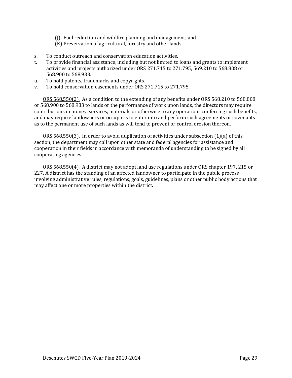- (J) Fuel reduction and wildfire planning and management; and
- (K) Preservation of agricultural, forestry and other lands.
- s. To conduct outreach and conservation education activities.
- t. To provide financial assistance, including but not limited to loans and grants to implement activities and projects authorized under ORS 271.715 to 271.795, 569.210 to 568.808 or 568.900 to 568.933.
- u. To hold patents, trademarks and copyrights.
- v. To hold conservation easements under ORS 271.715 to 271.795.

ORS 568.550(2). As a condition to the extending of any benefits under ORS 568.210 to 568.808 or 568.900 to 568.933 to lands or the performance of work upon lands, the directors may require contributions in money, services, materials or otherwise to any operations conferring such benefits, and may require landowners or occupiers to enter into and perform such agreements or covenants as to the permanent use of such lands as will tend to prevent or control erosion thereon.

ORS 568.550(3). In order to avoid duplication of activities under subsection (1)(a) of this section, the department may call upon other state and federal agencies for assistance and cooperation in their fields in accordance with memoranda of understanding to be signed by all cooperating agencies.

ORS 568.550(4). A district may not adopt land use regulations under ORS chapter 197, 215 or 227. A district has the standing of an affected landowner to participate in the public process involving administrative rules, regulations, goals, guidelines, plans or other public body actions that may affect one or more properties within the district**.**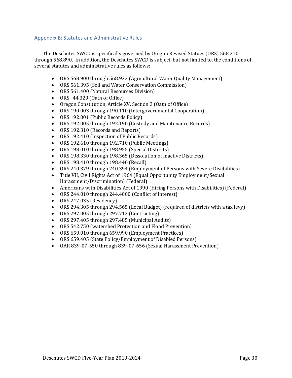<span id="page-34-0"></span>The Deschutes SWCD is specifically governed by Oregon Revised Statues (ORS) 568.210 through 568.890. In addition, the Deschutes SWCD is subject, but not limited to, the conditions of several statutes and administrative rules as follows:

- ORS 568.900 through 568.933 (Agricultural Water Quality Management)
- ORS 561.395 (Soil and Water Conservation Commission)
- ORS 561.400 (Natural Resources Division)
- ORS 44.320 (Oath of Office)
- Oregon Constitution, Article XV, Section 3 (Oath of Office)
- ORS 190.003 through 190.110 (Intergovernmental Cooperation)
- ORS 192.001 (Public Records Policy)
- ORS 192.005 through 192.190 (Custody and Maintenance Records)
- ORS 192.310 (Records and Reports)
- ORS 192.410 (Inspection of Public Records)
- ORS 192.610 through 192.710 (Public Meetings)
- ORS 198.010 through 198.955 (Special Districts)
- ORS 198.330 through 198.365 (Dissolution of Inactive Districts)
- ORS 198.410 through 198.440 (Recall)
- ORS 240.379 through 240.394 (Employment of Persons with Severe Disabilities)
- Title VII, Civil Rights Act of 1964 (Equal Opportunity Employment/Sexual Harassment/Discrimination) (Federal)
- Americans with Disabilities Act of 1990 (Hiring Persons with Disabilities) (Federal)
- ORS 244.010 through 244.4000 (Conflict of Interest)
- ORS 247.035 (Residency)
- ORS 294.305 through 294.565 (Local Budget) (required of districts with a tax levy)
- ORS 297.005 through 297.712 (Contracting)
- ORS 297.405 through 297.485 (Municipal Audits)
- ORS 542.750 (watershed Protection and Flood Prevention)
- ORS 659.010 through 659.990 (Employment Practices)
- ORS 659.405 (State Policy/Employment of Disabled Persons)
- OAR 839-07-550 through 839-07-656 (Sexual Harassment Prevention)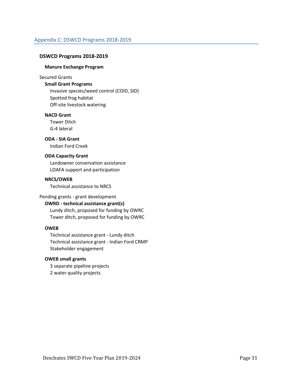# <span id="page-35-0"></span>**DSWCD Programs 2018-2019**

### **Manure Exchange Program**

### Secured Grants

# **Small Grant Programs**

Invasive species/weed control (COID, SID) Spotted frog habitat Off-site livestock watering

# **NACD Grant**

Tower Ditch G-4 lateral

# **ODA - SIA Grant**

Indian Ford Creek

# **ODA Capacity Grant**

Landowner conservation assistance LOAFA support and participation

# **NRCS/OWEB**

Technical assistance to NRCS

# Pending grants - grant development

# **OWRD - technical assistance grant(s)**

Lundy ditch, proposed for funding by OWRC Tower ditch, proposed for funding by OWRC

# **OWEB**

Technical assistance grant - Lundy ditch Technical assistance grant - Indian Ford CRMP Stakeholder engagement

# **OWEB small grants**

3 separate pipeline projects 2 water quality projects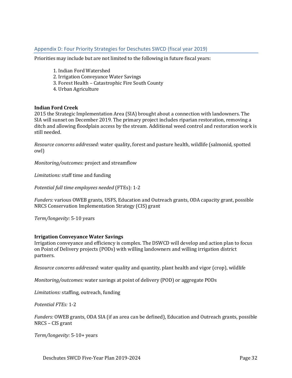# <span id="page-36-0"></span>Appendix D: Four Priority Strategies for Deschutes SWCD (fiscal year 2019)

Priorities may include but are not limited to the following in future fiscal years:

- 1. Indian Ford Watershed
- 2. Irrigation Conveyance Water Savings
- 3. Forest Health Catastrophic Fire South County
- 4. Urban Agriculture

# **Indian Ford Creek**

2015 the Strategic Implementation Area (SIA) brought about a connection with landowners. The SIA will sunset on December 2019. The primary project includes riparian restoration, removing a ditch and allowing floodplain access by the stream. Additional weed control and restoration work is still needed.

*Resource concerns addressed:* water quality, forest and pasture health, wildlife (salmonid, spotted owl)

*Monitoring/outcomes:* project and streamflow

*Limitations:* staff time and funding

*Potential full time employees needed* (FTEs): 1-2

*Funders:* various OWEB grants, USFS, Education and Outreach grants, ODA capacity grant, possible NRCS Conservation Implementation Strategy (CIS) grant

*Term/longevity:* 5-10 years

# **Irrigation Conveyance Water Savings**

Irrigation conveyance and efficiency is complex. The DSWCD will develop and action plan to focus on Point of Delivery projects (PODs) with willing landowners and willing irrigation district partners.

*Resource concerns addressed:* water quality and quantity, plant health and vigor (crop), wildlife

*Monitoring/outcomes:* water savings at point of delivery (POD) or aggregate PODs

*Limitations:* staffing, outreach, funding

*Potential FTEs:* 1-2

*Funders:* OWEB grants, ODA SIA (if an area can be defined), Education and Outreach grants, possible NRCS – CIS grant

*Term/longevity:* 5-10+ years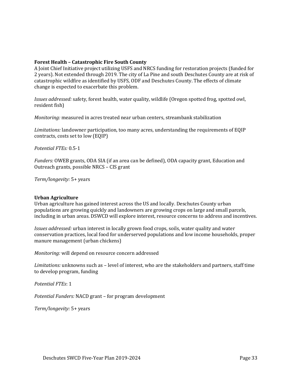# **Forest Health – Catastrophic Fire South County**

A Joint Chief Initiative project utilizing USFS and NRCS funding for restoration projects (funded for 2 years). Not extended through 2019. The city of La Pine and south Deschutes County are at risk of catastrophic wildfire as identified by USFS, ODF and Deschutes County. The effects of climate change is expected to exacerbate this problem.

*Issues addressed:* safety, forest health, water quality, wildlife (Oregon spotted frog, spotted owl, resident fish)

*Monitoring:* measured in acres treated near urban centers, streambank stabilization

*Limitations:* landowner participation, too many acres, understanding the requirements of EQIP contracts, costs set to low (EQIP)

*Potential FTEs:* 0.5-1

*Funders:* OWEB grants, ODA SIA (if an area can be defined), ODA capacity grant, Education and Outreach grants, possible NRCS – CIS grant

*Term/longevity:* 5+ years

#### **Urban Agriculture**

Urban agriculture has gained interest across the US and locally. Deschutes County urban populations are growing quickly and landowners are growing crops on large and small parcels, including in urban areas. DSWCD will explore interest, resource concerns to address and incentives.

*Issues addressed:* urban interest in locally grown food crops, soils, water quality and water conservation practices, local food for underserved populations and low income households, proper manure management (urban chickens)

*Monitoring:* will depend on resource concern addressed

*Limitations:* unknowns such as – level of interest, who are the stakeholders and partners, staff time to develop program, funding

*Potential FTEs*: 1

*Potential Funders:* NACD grant – for program development

*Term/longevity:* 5+ years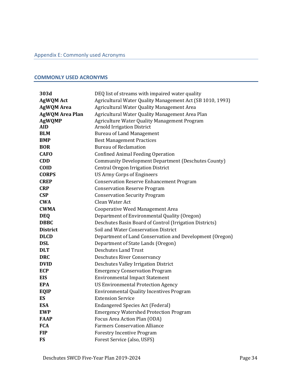# <span id="page-38-1"></span><span id="page-38-0"></span>**COMMONLY USED ACRONYMS**

| 303d                   | DEQ list of streams with impaired water quality            |
|------------------------|------------------------------------------------------------|
| <b>AgWQM Act</b>       | Agricultural Water Quality Management Act (SB 1010, 1993)  |
| <b>AgWQM Area</b>      | Agricultural Water Quality Management Area                 |
| <b>AgWQM Area Plan</b> | Agricultural Water Quality Management Area Plan            |
| <b>AgWQMP</b>          | <b>Agriculture Water Quality Management Program</b>        |
| <b>AID</b>             | <b>Arnold Irrigation District</b>                          |
| <b>BLM</b>             | <b>Bureau of Land Management</b>                           |
| <b>BMP</b>             | <b>Best Management Practices</b>                           |
| <b>BOR</b>             | <b>Bureau of Reclamation</b>                               |
| <b>CAFO</b>            | <b>Confined Animal Feeding Operation</b>                   |
| <b>CDD</b>             | <b>Community Development Department (Deschutes County)</b> |
| <b>COID</b>            | <b>Central Oregon Irrigation District</b>                  |
| <b>CORPS</b>           | <b>US Army Corps of Engineers</b>                          |
| <b>CREP</b>            | <b>Conservation Reserve Enhancement Program</b>            |
| <b>CRP</b>             | <b>Conservation Reserve Program</b>                        |
| <b>CSP</b>             | <b>Conservation Security Program</b>                       |
| <b>CWA</b>             | Clean Water Act                                            |
| <b>CWMA</b>            | Cooperative Weed Management Area                           |
| <b>DEQ</b>             | Department of Environmental Quality (Oregon)               |
| <b>DBBC</b>            | Deschutes Basin Board of Control (Irrigation Districts)    |
| <b>District</b>        | Soil and Water Conservation District                       |
| <b>DLCD</b>            | Department of Land Conservation and Development (Oregon)   |
| <b>DSL</b>             | Department of State Lands (Oregon)                         |
| <b>DLT</b>             | <b>Deschutes Land Trust</b>                                |
| <b>DRC</b>             | <b>Deschutes River Conservancy</b>                         |
| <b>DVID</b>            | <b>Deschutes Valley Irrigation District</b>                |
| <b>ECP</b>             | <b>Emergency Conservation Program</b>                      |
| <b>EIS</b>             | <b>Environmental Impact Statement</b>                      |
| <b>EPA</b>             | <b>US Environmental Protection Agency</b>                  |
| EQIP                   | Environmental Quality Incentives Program                   |
| <b>ES</b>              | <b>Extension Service</b>                                   |
| <b>ESA</b>             | <b>Endangered Species Act (Federal)</b>                    |
| <b>EWP</b>             | <b>Emergency Watershed Protection Program</b>              |
| <b>FAAP</b>            | Focus Area Action Plan (ODA)                               |
| <b>FCA</b>             | <b>Farmers Conservation Alliance</b>                       |
| <b>FIP</b>             | <b>Forestry Incentive Program</b>                          |
| <b>FS</b>              | Forest Service (also, USFS)                                |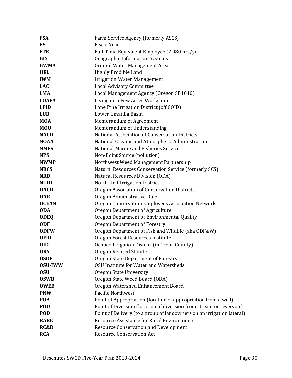| <b>FSA</b>     | Farm Service Agency (formerly ASCS)                                   |
|----------------|-----------------------------------------------------------------------|
| <b>FY</b>      | <b>Fiscal Year</b>                                                    |
| <b>FTE</b>     | Full-Time Equivalent Employee (2,080 hrs/yr)                          |
| <b>GIS</b>     | <b>Geographic Information Systems</b>                                 |
| <b>GWMA</b>    | <b>Ground Water Management Area</b>                                   |
| <b>HEL</b>     | Highly Erodible Land                                                  |
| <b>IWM</b>     | <b>Irrigation Water Management</b>                                    |
| <b>LAC</b>     | <b>Local Advisory Committee</b>                                       |
| <b>LMA</b>     | Local Management Agency (Oregon SB1010)                               |
| <b>LOAFA</b>   | Living on a Few Acres Workshop                                        |
| <b>LPID</b>    | Lone Pine Irrigation District (off COID)                              |
| <b>LUB</b>     | Lower Umatilla Basin                                                  |
| <b>MOA</b>     | Memorandum of Agreement                                               |
| <b>MOU</b>     | Memorandum of Understanding                                           |
| <b>NACD</b>    | National Association of Conservation Districts                        |
| <b>NOAA</b>    | National Oceanic and Atmospheric Administration                       |
| <b>NMFS</b>    | National Marine and Fisheries Service                                 |
| <b>NPS</b>     | Non-Point Source (pollution)                                          |
| <b>NWMP</b>    | Northwest Weed Management Partnership                                 |
| <b>NRCS</b>    | Natural Resources Conservation Service (formerly SCS)                 |
| <b>NRD</b>     | Natural Resources Division (ODA)                                      |
| <b>NUID</b>    | North Unit Irrigation District                                        |
| <b>OACD</b>    | Oregon Association of Conservation Districts                          |
| <b>OAR</b>     | Oregon Administrative Rule                                            |
| <b>OCEAN</b>   | Oregon Conservation Employees Association Network                     |
| <b>ODA</b>     | Oregon Department of Agriculture                                      |
| <b>ODEQ</b>    | Oregon Department of Environmental Quality                            |
| <b>ODF</b>     | <b>Oregon Department of Forestry</b>                                  |
| <b>ODFW</b>    | Oregon Department of Fish and Wildlife (aka ODF&W)                    |
| <b>OFRI</b>    | Oregon Forest Resources Institute                                     |
| 0ID            | Ochoco Irrigation District (in Crook County)                          |
| <b>ORS</b>     | <b>Oregon Revised Statute</b>                                         |
| <b>OSDF</b>    | Oregon State Department of Forestry                                   |
| <b>OSU-IWW</b> | <b>OSU Institute for Water and Watersheds</b>                         |
| <b>OSU</b>     | Oregon State University                                               |
| <b>OSWB</b>    | Oregon State Weed Board (ODA)                                         |
| <b>OWEB</b>    | Oregon Watershed Enhancement Board                                    |
| <b>PNW</b>     | <b>Pacific Northwest</b>                                              |
| <b>POA</b>     | Point of Appropriation (location of appropriation from a well)        |
| <b>POD</b>     | Point of Diversion (location of diversion from stream or reservoir)   |
| <b>POD</b>     | Point of Delivery (to a group of landowners on an irrigation lateral) |
| <b>RARE</b>    | <b>Resource Assistance for Rural Environments</b>                     |
| RC&D           | <b>Resource Conservation and Development</b>                          |
| <b>RCA</b>     | <b>Resource Conservation Act</b>                                      |